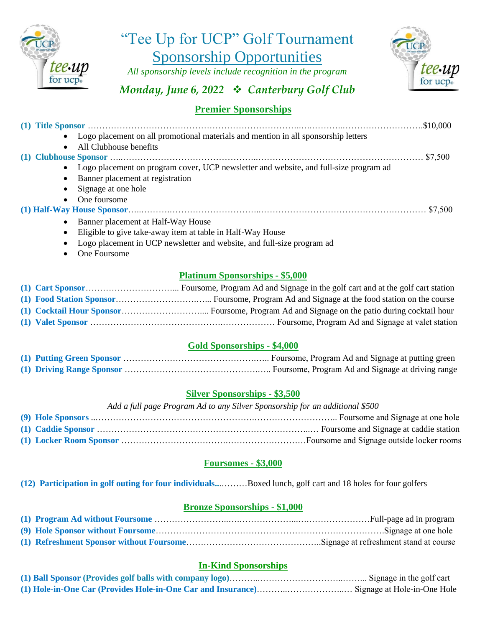

"Tee Up for UCP" Golf Tournament Sponsorship Opportunities

*All sponsorship levels include recognition in the program*



# *Monday, June 6, 2022* ❖ *Canterbury Golf Club*

# **Premier Sponsorships**

|           | • Logo placement on all promotional materials and mention in all sponsorship letters    |
|-----------|-----------------------------------------------------------------------------------------|
| $\bullet$ | All Clubhouse benefits                                                                  |
|           |                                                                                         |
|           | • Logo placement on program cover, UCP newsletter and website, and full-size program ad |
|           | • Banner placement at registration                                                      |
|           | • Signage at one hole                                                                   |
|           | • One foursome                                                                          |
|           |                                                                                         |
|           | • Banner placement at Half-Way House                                                    |
| $\bullet$ | Eligible to give take-away item at table in Half-Way House                              |
|           | J ago placement in UCD pays letter and visitate and full give negative ad-              |

- Logo placement in UCP newsletter and website, and full-size program ad
- One Foursome

## **Platinum Sponsorships - \$5,000**

#### **Gold Sponsorships - \$4,000**

#### **Silver Sponsorships - \$3,500**

#### *Add a full page Program Ad to any Silver Sponsorship for an additional \$500*

#### **Foursomes - \$3,000**

**(12) Participation in golf outing for four individuals..**.………Boxed lunch, golf cart and 18 holes for four golfers

# **Bronze Sponsorships - \$1,000**

## **In-Kind Sponsorships**